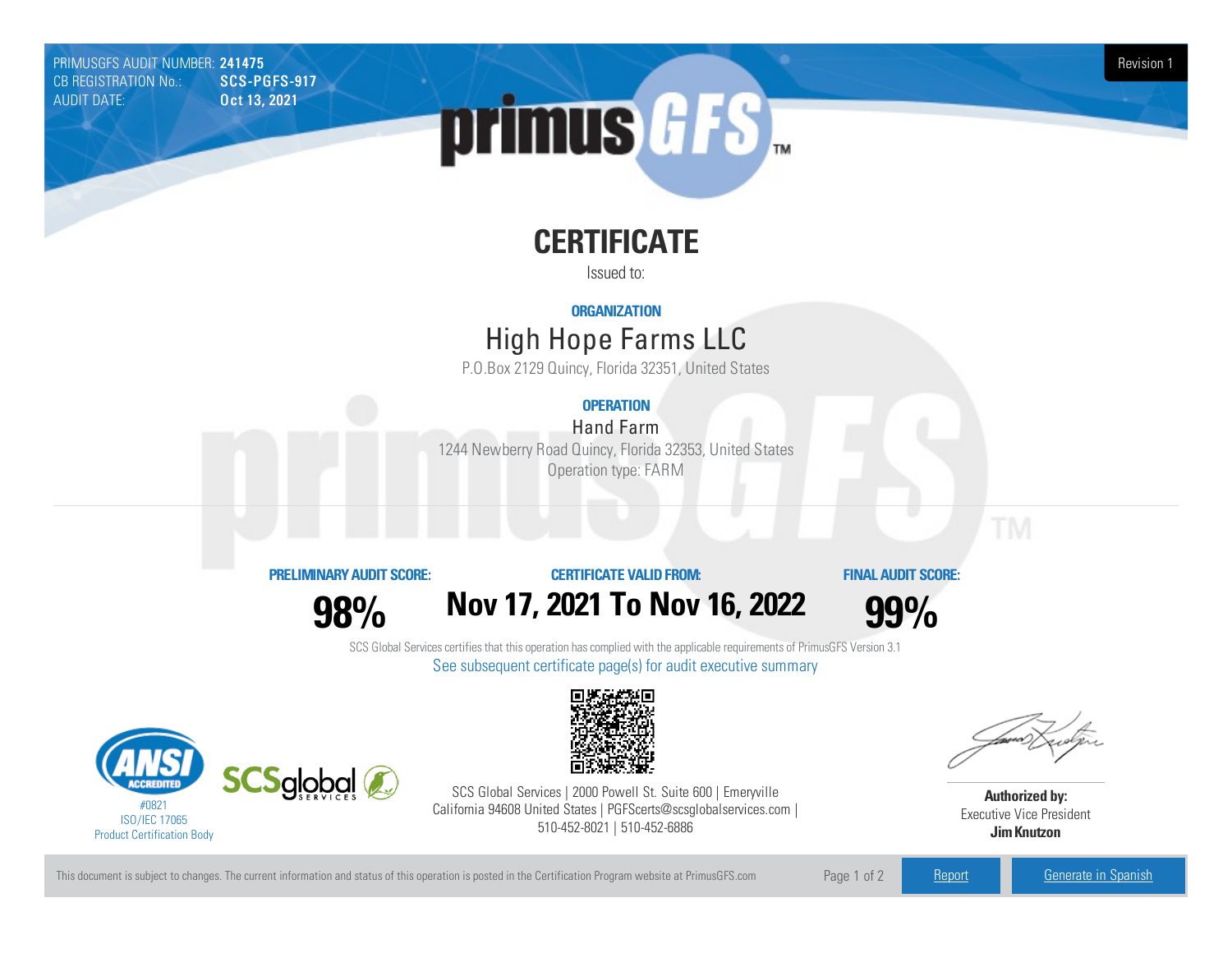PRIMUSGFS AUDIT NUMBER: 241475 Revision 1<br>CB REGISTRATION No.: SCS-PGFS-917 Revision 1 CB REGISTRATION No.: AUDIT DATE: **Oct 13, 2021** 



# **CERTIFICATE**

Issued to:

#### **ORGANIZATION**

## High Hope FarmsLLC

P.O.Box 2129 Quincy, Florida 32351, United States

### **OPERATION**

Hand Farm 1244 Newberry Road Quincy, Florida 32353, United States Operation type: FARM

#### **PRELIMINARYAUDIT SCORE:**

**98%**

**CERTIFICATE VALIDFROM: Nov17, 2021 To Nov16, 2022** **FINAL AUDIT SCORE:**

**99%**

SCS Global Services certifies that this operation has complied with the applicable requirements of PrimusGFS Version 3.1 See subsequent certificate page(s) for audit executive summary





SCS Global Services | 2000 Powell St. Suite 600 | Emeryville California 94608 United States | PGFScerts@scsglobalservices.com | 510-452-8021 | 510-452-6886

**Authorized by:** Executive Vice President **JimKnutzon**

This document is subject to changes. The current information and status of this operation is posted in the Certification Program website at PrimusGFS.com Page 1 of 2 [Report](https://secure.azzule.com/PGFSDocuments/PGFS_AuditReport241475_4698_1_EN.pdf) [Generate](https://secure.azzule.com/PrimusGFSAudits/pdfGenerator.aspx?AuditHeaderID=56555050173586072992488224479827254484938&AppId=19009052149&LanguageID=1&UserId=1) in Spanish